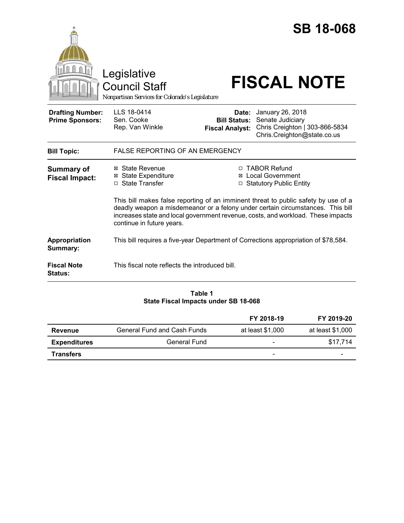|                                                   | Legislative<br><b>Council Staff</b><br>Nonpartisan Services for Colorado's Legislature                                                                                                                                                                                                |                                                        | <b>SB 18-068</b><br><b>FISCAL NOTE</b>                                                                |
|---------------------------------------------------|---------------------------------------------------------------------------------------------------------------------------------------------------------------------------------------------------------------------------------------------------------------------------------------|--------------------------------------------------------|-------------------------------------------------------------------------------------------------------|
| <b>Drafting Number:</b><br><b>Prime Sponsors:</b> | LLS 18-0414<br>Sen. Cooke<br>Rep. Van Winkle                                                                                                                                                                                                                                          | Date:<br><b>Bill Status:</b><br><b>Fiscal Analyst:</b> | January 26, 2018<br>Senate Judiciary<br>Chris Creighton   303-866-5834<br>Chris.Creighton@state.co.us |
| <b>Bill Topic:</b>                                | <b>FALSE REPORTING OF AN EMERGENCY</b>                                                                                                                                                                                                                                                |                                                        |                                                                                                       |
| <b>Summary of</b><br><b>Fiscal Impact:</b>        | ⊠ State Revenue<br><b>⊠ State Expenditure</b><br>□ State Transfer                                                                                                                                                                                                                     |                                                        | □ TABOR Refund<br><b>⊠</b> Local Government<br>□ Statutory Public Entity                              |
|                                                   | This bill makes false reporting of an imminent threat to public safety by use of a<br>deadly weapon a misdemeanor or a felony under certain circumstances. This bill<br>increases state and local government revenue, costs, and workload. These impacts<br>continue in future years. |                                                        |                                                                                                       |
| Appropriation<br>Summary:                         |                                                                                                                                                                                                                                                                                       |                                                        | This bill requires a five-year Department of Corrections appropriation of \$78,584.                   |
| <b>Fiscal Note</b><br><b>Status:</b>              | This fiscal note reflects the introduced bill.                                                                                                                                                                                                                                        |                                                        |                                                                                                       |

## **Table 1 State Fiscal Impacts under SB 18-068**

|                     |                                    | FY 2018-19                   | FY 2019-20                   |
|---------------------|------------------------------------|------------------------------|------------------------------|
| Revenue             | <b>General Fund and Cash Funds</b> | at least \$1,000             | at least \$1,000             |
| <b>Expenditures</b> | <b>General Fund</b>                | $\qquad \qquad \blacksquare$ | \$17.714                     |
| <b>Transfers</b>    |                                    | $\qquad \qquad \blacksquare$ | $\qquad \qquad \blacksquare$ |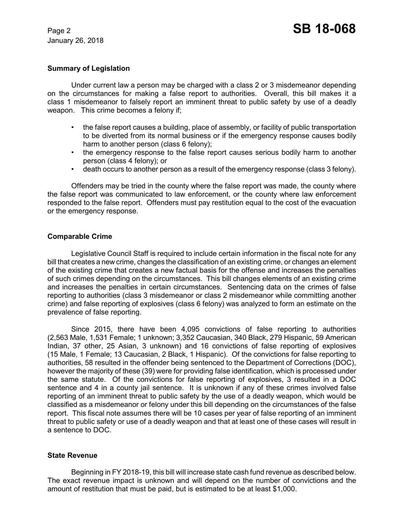### **Summary of Legislation**

Under current law a person may be charged with a class 2 or 3 misdemeanor depending on the circumstances for making a false report to authorities. Overall, this bill makes it a class 1 misdemeanor to falsely report an imminent threat to public safety by use of a deadly weapon. This crime becomes a felony if;

- the false report causes a building, place of assembly, or facility of public transportation to be diverted from its normal business or if the emergency response causes bodily harm to another person (class 6 felony);
- the emergency response to the false report causes serious bodily harm to another person (class 4 felony); or
- death occurs to another person as a result of the emergency response (class 3 felony).

Offenders may be tried in the county where the false report was made, the county where the false report was communicated to law enforcement, or the county where law enforcement responded to the false report. Offenders must pay restitution equal to the cost of the evacuation or the emergency response.

## **Comparable Crime**

Legislative Council Staff is required to include certain information in the fiscal note for any bill that creates a new crime, changes the classification of an existing crime, or changes an element of the existing crime that creates a new factual basis for the offense and increases the penalties of such crimes depending on the circumstances. This bill changes elements of an existing crime and increases the penalties in certain circumstances. Sentencing data on the crimes of false reporting to authorities (class 3 misdemeanor or class 2 misdemeanor while committing another crime) and false reporting of explosives (class 6 felony) was analyzed to form an estimate on the prevalence of false reporting.

Since 2015, there have been 4,095 convictions of false reporting to authorities (2,563 Male, 1,531 Female; 1 unknown; 3,352 Caucasian, 340 Black, 279 Hispanic, 59 American Indian, 37 other, 25 Asian, 3 unknown) and 16 convictions of false reporting of explosives (15 Male, 1 Female; 13 Caucasian, 2 Black, 1 Hispanic). Of the convictions for false reporting to authorities, 58 resulted in the offender being sentenced to the Department of Corrections (DOC), however the majority of these (39) were for providing false identification, which is processed under the same statute. Of the convictions for false reporting of explosives, 3 resulted in a DOC sentence and 4 in a county jail sentence. It is unknown if any of these crimes involved false reporting of an imminent threat to public safety by the use of a deadly weapon, which would be classified as a misdemeanor or felony under this bill depending on the circumstances of the false report. This fiscal note assumes there will be 10 cases per year of false reporting of an imminent threat to public safety or use of a deadly weapon and that at least one of these cases will result in a sentence to DOC.

### **State Revenue**

Beginning in FY 2018-19, this bill will increase state cash fund revenue as described below. The exact revenue impact is unknown and will depend on the number of convictions and the amount of restitution that must be paid, but is estimated to be at least \$1,000.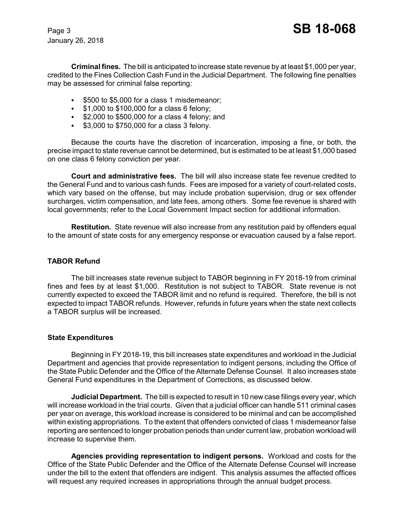**Criminal fines.** The bill is anticipated to increase state revenue by at least \$1,000 per year, credited to the Fines Collection Cash Fund in the Judicial Department. The following fine penalties may be assessed for criminal false reporting:

- $\bullet$  \$500 to \$5,000 for a class 1 misdemeanor;
- $\cdot$  \$1,000 to \$100,000 for a class 6 felony;
- $\cdot$  \$2,000 to \$500,000 for a class 4 felony; and
- $\cdot$  \$3,000 to \$750,000 for a class 3 felony.

Because the courts have the discretion of incarceration, imposing a fine, or both, the precise impact to state revenue cannot be determined, but is estimated to be at least \$1,000 based on one class 6 felony conviction per year.

**Court and administrative fees.** The bill will also increase state fee revenue credited to the General Fund and to various cash funds. Fees are imposed for a variety of court-related costs, which vary based on the offense, but may include probation supervision, drug or sex offender surcharges, victim compensation, and late fees, among others. Some fee revenue is shared with local governments; refer to the Local Government Impact section for additional information.

**Restitution.** State revenue will also increase from any restitution paid by offenders equal to the amount of state costs for any emergency response or evacuation caused by a false report.

## **TABOR Refund**

The bill increases state revenue subject to TABOR beginning in FY 2018-19 from criminal fines and fees by at least \$1,000. Restitution is not subject to TABOR. State revenue is not currently expected to exceed the TABOR limit and no refund is required. Therefore, the bill is not expected to impact TABOR refunds. However, refunds in future years when the state next collects a TABOR surplus will be increased.

### **State Expenditures**

Beginning in FY 2018-19, this bill increases state expenditures and workload in the Judicial Department and agencies that provide representation to indigent persons, including the Office of the State Public Defender and the Office of the Alternate Defense Counsel. It also increases state General Fund expenditures in the Department of Corrections, as discussed below.

**Judicial Department.** The bill is expected to result in 10 new case filings every year, which will increase workload in the trial courts. Given that a judicial officer can handle 511 criminal cases per year on average, this workload increase is considered to be minimal and can be accomplished within existing appropriations. To the extent that offenders convicted of class 1 misdemeanor false reporting are sentenced to longer probation periods than under current law, probation workload will increase to supervise them.

**Agencies providing representation to indigent persons.** Workload and costs for the Office of the State Public Defender and the Office of the Alternate Defense Counsel will increase under the bill to the extent that offenders are indigent. This analysis assumes the affected offices will request any required increases in appropriations through the annual budget process.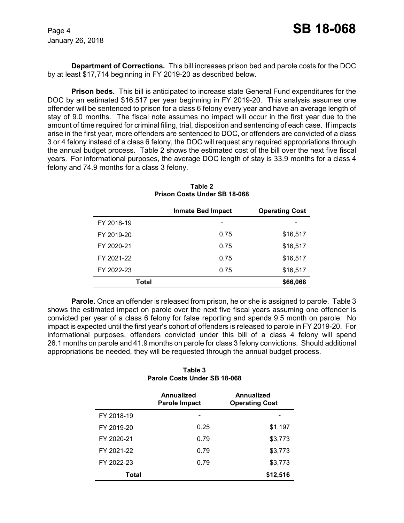**Department of Corrections.** This bill increases prison bed and parole costs for the DOC by at least \$17,714 beginning in FY 2019-20 as described below.

**Prison beds.** This bill is anticipated to increase state General Fund expenditures for the DOC by an estimated \$16,517 per year beginning in FY 2019-20. This analysis assumes one offender will be sentenced to prison for a class 6 felony every year and have an average length of stay of 9.0 months. The fiscal note assumes no impact will occur in the first year due to the amount of time required for criminal filing, trial, disposition and sentencing of each case. If impacts arise in the first year, more offenders are sentenced to DOC, or offenders are convicted of a class 3 or 4 felony instead of a class 6 felony, the DOC will request any required appropriations through the annual budget process. Table 2 shows the estimated cost of the bill over the next five fiscal years. For informational purposes, the average DOC length of stay is 33.9 months for a class 4 felony and 74.9 months for a class 3 felony.

|            | <b>Inmate Bed Impact</b> | <b>Operating Cost</b> |
|------------|--------------------------|-----------------------|
| FY 2018-19 |                          |                       |
| FY 2019-20 | 0.75                     | \$16,517              |
| FY 2020-21 | 0.75                     | \$16,517              |
| FY 2021-22 | 0.75                     | \$16,517              |
| FY 2022-23 | 0.75                     | \$16,517              |
| Total      |                          | \$66,068              |

**Table 2 Prison Costs Under SB 18-068**

**Parole.** Once an offender is released from prison, he or she is assigned to parole. Table 3 shows the estimated impact on parole over the next five fiscal years assuming one offender is convicted per year of a class 6 felony for false reporting and spends 9.5 month on parole. No impact is expected until the first year's cohort of offenders is released to parole in FY 2019-20. For informational purposes, offenders convicted under this bill of a class 4 felony will spend 26.1 months on parole and 41.9 months on parole for class 3 felony convictions. Should additional appropriations be needed, they will be requested through the annual budget process.

**Table 3 Parole Costs Under SB 18-068**

|            | Annualized<br>Parole Impact | Annualized<br><b>Operating Cost</b> |  |
|------------|-----------------------------|-------------------------------------|--|
| FY 2018-19 |                             |                                     |  |
| FY 2019-20 | 0.25                        | \$1,197                             |  |
| FY 2020-21 | 0.79                        | \$3,773                             |  |
| FY 2021-22 | 0.79                        | \$3,773                             |  |
| FY 2022-23 | 0.79                        | \$3,773                             |  |
| Total      |                             | \$12,516                            |  |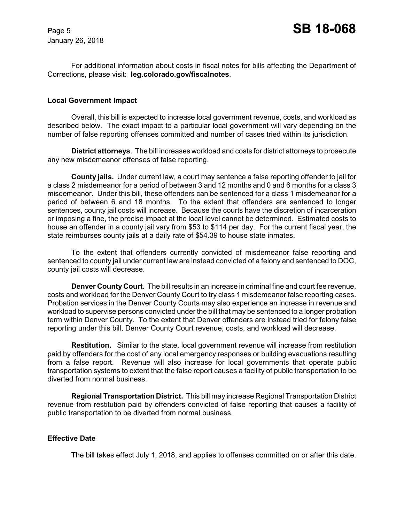For additional information about costs in fiscal notes for bills affecting the Department of Corrections, please visit: **leg.colorado.gov/fiscalnotes**.

#### **Local Government Impact**

Overall, this bill is expected to increase local government revenue, costs, and workload as described below. The exact impact to a particular local government will vary depending on the number of false reporting offenses committed and number of cases tried within its jurisdiction.

**District attorneys**. The bill increases workload and costs for district attorneys to prosecute any new misdemeanor offenses of false reporting.

**County jails.** Under current law, a court may sentence a false reporting offender to jail for a class 2 misdemeanor for a period of between 3 and 12 months and 0 and 6 months for a class 3 misdemeanor. Under this bill, these offenders can be sentenced for a class 1 misdemeanor for a period of between 6 and 18 months. To the extent that offenders are sentenced to longer sentences, county jail costs will increase. Because the courts have the discretion of incarceration or imposing a fine, the precise impact at the local level cannot be determined. Estimated costs to house an offender in a county jail vary from \$53 to \$114 per day. For the current fiscal year, the state reimburses county jails at a daily rate of \$54.39 to house state inmates.

To the extent that offenders currently convicted of misdemeanor false reporting and sentenced to county jail under current law are instead convicted of a felony and sentenced to DOC, county jail costs will decrease.

**Denver County Court.** The bill results in an increase in criminal fine and court fee revenue, costs and workload for the Denver County Court to try class 1 misdemeanor false reporting cases. Probation services in the Denver County Courts may also experience an increase in revenue and workload to supervise persons convicted under the bill that may be sentenced to a longer probation term within Denver County. To the extent that Denver offenders are instead tried for felony false reporting under this bill, Denver County Court revenue, costs, and workload will decrease.

**Restitution.** Similar to the state, local government revenue will increase from restitution paid by offenders for the cost of any local emergency responses or building evacuations resulting from a false report. Revenue will also increase for local governments that operate public transportation systems to extent that the false report causes a facility of public transportation to be diverted from normal business.

**Regional Transportation District.** This bill may increase Regional Transportation District revenue from restitution paid by offenders convicted of false reporting that causes a facility of public transportation to be diverted from normal business.

### **Effective Date**

The bill takes effect July 1, 2018, and applies to offenses committed on or after this date.